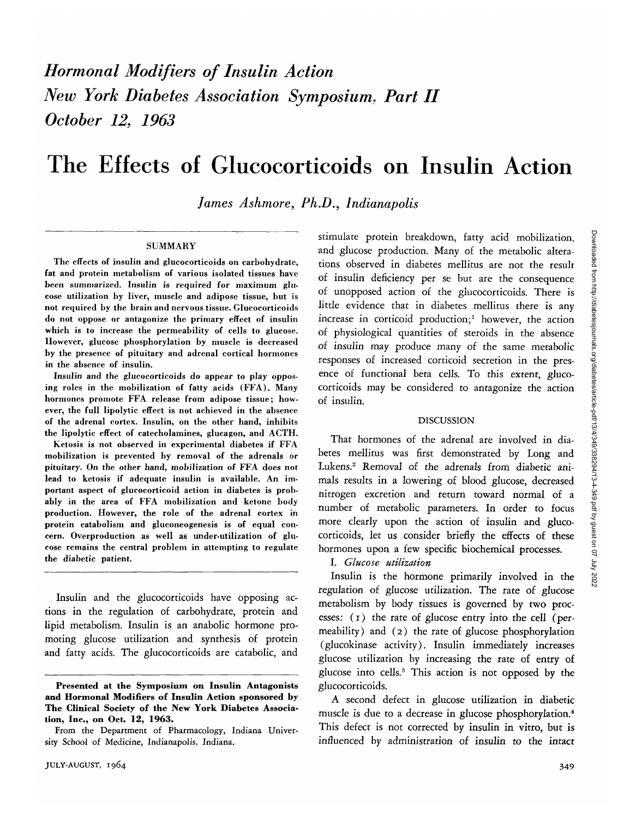# The Effects of Glucocorticoids on Insulin Action

*James Ashmore, Ph.D., Indianapolis*

# SUMMARY

The effects of insulin and glucocorticoids on carbohydrate, **fat** and protein metabolism of various isolated tissues have been summarized. Insulin is required for maximum glucose utilization by liver, muscle and adipose tissue, but is not required by the brain and nervous tissue. Glucocorticoids do not oppose or antagonize the primary effect of insulin which is to increase the permeability of cells to glucose. However, glucose phosphorylation by muscle is decreased by the presence of pituitary and adrenal cortical hormones in the absence of insulin.

Insulin and the glucocorticoids do appear to play opposing roles in the mobilization of fatty acids (FFA). Many hormones promote FFA release from adipose tissue; however, the full lipolytic effect is not achieved in the absence of the adrenal cortex. Insulin, on the other hand, inhibits the lipolytic effect of catecholamines, glucagon, and ACTH.

Ketosis is not observed in experimental diabetes if FFA mobilization is prevented by removal of the adrenals or pituitary. On the other hand, mobilization of FFA does not lead to ketosis if adequate insulin is available. An important aspect of glucocorticoid action in diabetes is probably in the area of FFA mobilization and ketone body production. However, the role of the adrenal cortex in protein catabolism and gluconeogenesis is of equal concern. Overproduction as well as under-utilization of glucose remains the central problem in attempting to regulate the diabetic patient.

Insulin and the glucocorticoids have opposing actions in the regulation of carbohydrate, protein and lipid metabolism. Insulin is an anabolic hormone promoting glucose utilization and synthesis of protein and fatty acids. The glucocorticoids are catabolic, and

stimulate protein breakdown, fatty acid mobilization, and glucose production. Many of the metabolic alterations observed in diabetes mellitus are not the result of insulin deficiency per se but are the consequence of unopposed action of the glucocorticoids. There is little evidence that in diabetes mellitus there is any increase in corticoid production;<sup>1</sup> however, the action of physiological quantities of steroids in the absence of insulin may produce many of the same metabolic responses of increased corticoid secretion in the presence of functional beta cells. To this extent, glucocorticoids may be considered to antagonize the action of insulin.

# **DISCUSSION**

That hormones of the adrenal are involved in diabetes mellitus was first demonstrated by Long and Lukens.2 Removal of the adrenals from diabetic animals results in a lowering of blood glucose, decreased nitrogen excretion and return toward normal of a number of metabolic parameters. In order to focus more clearly upon the action of insulin and glucocorticoids, let us consider briefly the effects of these hormones upon a few specific biochemical processes.

I. *Glucose utilization*

Insulin is the hormone primarily involved in the regulation of glucose utilization. The rate of glucose metabolism by body tissues is governed by two processes:  $(i)$  the rate of glucose entry into the cell (permeability) and (2) the rate of glucose phosphorylation (glucokinase activity). Insulin immediately increases glucose utilization by increasing the rate of entry of glucose into cells.<sup>3</sup> This action is not opposed by the glucocorticoids.

A second defect in glucose utilization in diabetic muscle is due to a decrease in glucose phosphorylation.<sup>4</sup> This defect is not corrected by insulin in vitro, but is influenced by administration of insulin to the intact

**Presented at the Symposium on Insulin Antagonists and Hormonal Modifiers of Insulin Action sponsored by The Clinical Society of the New York Diabetes Association, Inc., on Oct. 12, 1963.**

From the Department of Pharmacology, Indiana University School of Medicine, Indianapolis. Indiana.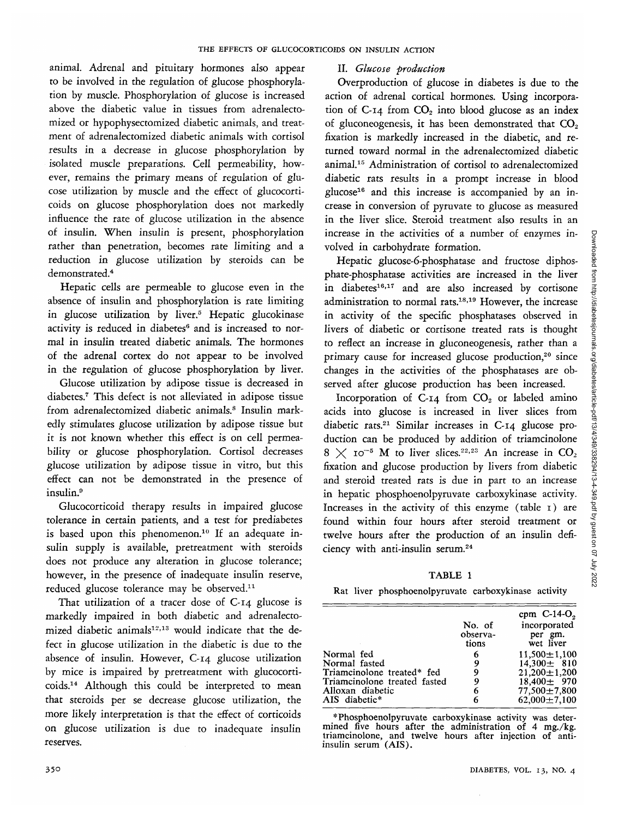animal. Adrenal and pituitary hormones also appear to be involved in the regulation of glucose phosphorylation by muscle. Phosphorylation of glucose is increased above the diabetic value in tissues from adrenalectomized or hypophysectomized diabetic animals, and treatment of adrenalectomized diabetic animals with cortisol results in a decrease in glucose phosphorylation by isolated muscle preparations. Cell permeability, however, remains the primary means of regulation of glucose utilization by muscle and the effect of glucocorticoids on glucose phosphorylation does not markedly influence the rate of glucose utilization in the absence of insulin. When insulin is present, phosphorylation rather than penetration, becomes rate limiting and a reduction in glucose utilization by steroids can be demonstrated.4

Hepatic cells are permeable to glucose even in the absence of insulin and phosphorylation is rate limiting in glucose utilization by liver.<sup>5</sup> Hepatic glucokinase activity is reduced in diabetes<sup>6</sup> and is increased to normal in insulin treated diabetic animals. The hormones of the adrenal cortex do not appear to be involved in the regulation of glucose phosphorylation by liver.

Glucose utilization by adipose tissue is decreased in diabetes.7 This defect is not alleviated in adipose tissue from adrenalectomized diabetic animals.<sup>8</sup> Insulin markedly stimulates glucose utilization by adipose tissue but *it* is not known whether this effect *is* on cell permeability or glucose phosphorylation. Cortisol decreases glucose utilization by adipose tissue in vitro, but this effect can not be demonstrated in the presence of insulin.9

Glucocorticoid therapy results in impaired glucose tolerance in certain patients, and a test for prediabetes is based upon this phenomenon.<sup>10</sup> If an adequate insulin supply is available, pretreatment with steroids does not produce any alteration in glucose tolerance; however, in the presence of inadequate insulin reserve, reduced glucose tolerance may be observed.<sup>11</sup>

That utilization of a tracer dose of C-14 glucose is markedly impaired in both diabetic and adrenalectomized diabetic animals<sup>12,13</sup> would indicate that the defect in glucose utilization in the diabetic is due to the absence of insulin. However, C-14 glucose utilization by mice is impaired by pretreatment with glucocorticoids.14 Although this could be interpreted to mean that steroids per se decrease glucose utilization, the more likely interpretation is that the effect of corticoids on glucose utilization is due to inadequate insulin reserves.

# II. *Glucose production*

Overproduction of glucose in diabetes is due to the action of adrenal cortical hormones. Using incorporation of C-14 from  $CO<sub>2</sub>$  into blood glucose as an index of gluconeogenesis, it has been demonstrated that  $CO<sub>2</sub>$ fixation is markedly increased in the diabetic, and returned toward normal in the adrenalectomized diabetic animal.15 Administration of cortisol to adrenalectomized diabetic rats results in a prompt increase in blood glucose16 and this increase is accompanied by an increase in conversion of pyruvate to glucose as measured in the liver slice. Steroid treatment also results in an increase in the activities of a number of enzymes involved in carbohydrate formation.

Hepatic glucose-6-phosphatase and fructose diphosphate-phosphatase activities are increased in the liver in diabetes<sup>16,17</sup> and are also increased by cortisone administration to normal rats.<sup>18,19</sup> However, the increase in activity of the specific phosphatases observed in livers of diabetic or cortisone treated rats is thought to reflect an increase in gluconeogenesis, rather than a primary cause for increased glucose production,<sup>20</sup> since changes in the activities of the phosphatases are observed after glucose production has been increased.

Incorporation of C-14 from  $CO<sub>2</sub>$  or labeled amino acids into glucose is increased in liver slices from diabetic rats.<sup>21</sup> Similar increases in C-14 glucose production can be produced by addition of triamcinolone  $8 \times 10^{-5}$  M to liver slices.<sup>22,23</sup> An increase in CO<sub>2</sub> fixation and glucose production by livers from diabetic and steroid treated rats is due in part to an increase in hepatic phosphoenolpyruvate carboxykinase activity. Increases in the activity of this enzyme (table 1) are found within four hours after steroid treatment or twelve hours after the production of an insulin deficiency with anti-insulin serum.24

## TABLE 1

Rat liver phosphoenolpyruvate carboxykinase activity

| No. of | cpm $C-14-C2$<br>incorporated<br>per gm. |
|--------|------------------------------------------|
| tions  | wet liver                                |
| 6      | $11,500 \pm 1,100$                       |
| 9      | $14.300 \pm 810$                         |
| 9      | $21.200 \pm 1.200$                       |
| 9      | $18,400 \pm 970$                         |
| 6      | $77.500 \pm 7.800$                       |
|        | $62,000 \pm 7,100$                       |
|        | observa-                                 |

\* Phosphoenolpyruvate carboxykinase activity was deter- mined five hours after the administration of 4 mg./kg. triamcinolone, and twelve hours after injection of anti- insulin serum (AIS).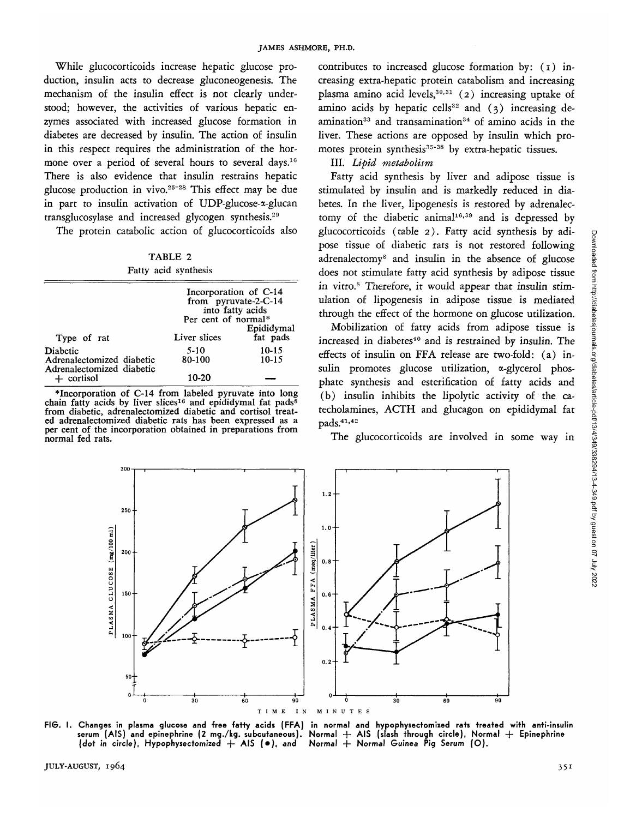While glucocorticoids increase hepatic glucose production, insulin acts to decrease gluconeogenesis. The mechanism of the insulin effect is not clearly understood; however, the activities of various hepatic enzymes associated with increased glucose formation in diabetes are decreased by insulin. The action of insulin in this respect requires the administration of the hormone over a period of several hours to several days.16 There is also evidence that insulin restrains hepatic glucose production in vivo.<sup>25-28</sup> This effect may be due in part to insulin activation of UDP-glucose-a-glucan transglucosylase and increased glycogen synthesis.29

The protein catabolic action of glucocorticoids also

TABLE 2 Fatty acid synthesis

|                                           | Incorporation of C-14<br>from pyruvate-2-C-14<br>into fatty acids<br>Per cent of normal* |            |
|-------------------------------------------|------------------------------------------------------------------------------------------|------------|
|                                           |                                                                                          |            |
|                                           |                                                                                          | Epididymal |
| Type of rat                               | Liver slices                                                                             | fat pads   |
| Diabetic                                  | 5-10                                                                                     | 10-15      |
| Adrenalectomized diabetic                 | 80-100                                                                                   | $10 - 15$  |
| Adrenalectomized diabetic<br>$+$ cortisol | $10 - 20$                                                                                |            |

\*Incorporation of C-14 from labeled pyruvate into long chain fatty acids by liver slices<sup>16</sup> and epididymal fat pads<sup>8</sup> from diabetic, adrenalectomized diabetic and cortisol treat- ed adrenalectomized diabetic rats has been expressed as a per cent of the incorporation obtained in preparations from normal fed rats. contributes to increased glucose formation by:  $(1)$  increasing extra-hepatic protein catabolism and increasing plasma amino acid levels,<sup>30,31</sup> (2) increasing uptake of amino acids by hepatic cells<sup>32</sup> and  $(3)$  increasing deamination<sup>33</sup> and transamination<sup>34</sup> of amino acids in the liver. These actions are opposed by insulin which promotes protein synthesis<sup>35-38</sup> by extra-hepatic tissues.

III. *Lipid metabolism*

Fatty acid synthesis by liver and adipose tissue is stimulated by insulin and is markedly reduced in diabetes. In the liver, lipogenesis is restored by adrenalectomy of the diabetic animal<sup>16,39</sup> and is depressed by glucocorticoids (table 2). Fatty acid synthesis by adipose tissue of diabetic rats is not restored following adrenalectomy<sup>8</sup> and insulin in the absence of glucose does not stimulate fatty acid synthesis by adipose tissue in vitro.<sup>8</sup> Therefore, it would appear that insulin stimulation of lipogenesis in adipose tissue is mediated through the effect of the hormone on glucose utilization.

Mobilization of fatty acids from adipose tissue is increased in diabetes<sup>40</sup> and is restrained by insulin. The effects of insulin on FFA release are two-fold: (a) insulin promotes glucose utilization,  $\alpha$ -glycerol phosphate synthesis and esterification of fatty acids and (b) insulin inhibits the lipolytic activity of the catecholamines, ACTH and glucagon on epididymal fat pads.41- 42

The glucocorticoids are involved in some way in



**FIG. I. Changes in plasma glucose and free fatty acids (PFA) in normal and hypophysectomized rats treated with anti-insulin serum (AIS) and epinephrine (2 mg./kg. subcutaneous). Normal + AIS (slash through circle), Normal + Epinephrine (dot in circle), Hypophysectomized -f- AIS (•) , and Normal + Normal Guinea Pig Serum (O).**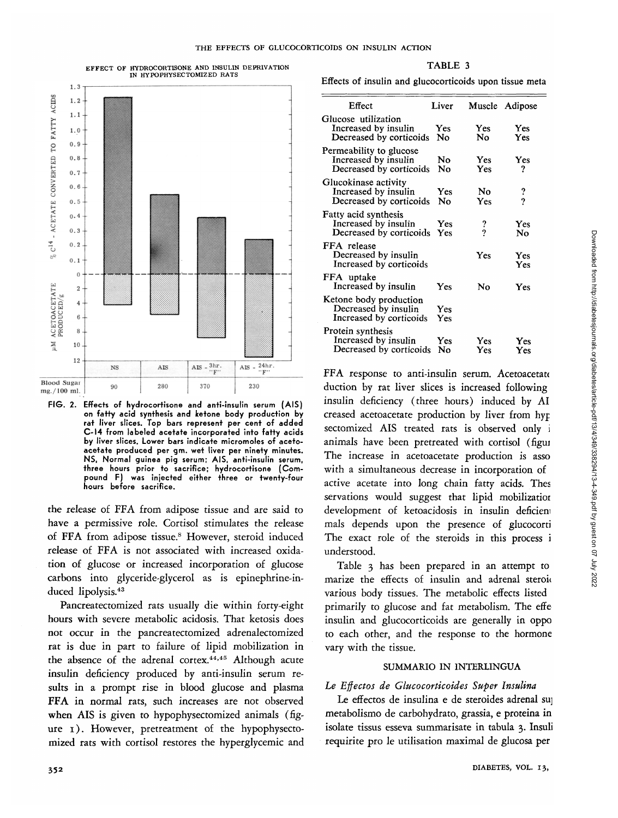

FIG. 2. Effects of hydrocortisone and anti-insulin serum (AIS) on fatty acid synthesis and ketone body production by rat liver slices. Top bars represent per cent of added C-14 from labeled acetate incorporated into fatty acids by liver slices. Lower bars indicate micromoles of acetoacetate produced per gm. wet liver per ninety minutes. NS, Normal guinea pig serum; AIS, anti-insulin serum, three hours prior to sacrifice; hydrocortisone (Compound F) was injected either three or twenty-four hours before sacrifice.

the release of FFA from adipose tissue and are said to have a permissive role. Cortisol stimulates the release of FFA from adipose tissue.<sup>8</sup> However, steroid induced release of FFA is not associated with increased oxidation of glucose or increased incorporation of glucose carbons into glyceride-glycerol as is epinephrine-induced lipolysis.<sup>43</sup>

Pancreatectomized rats usually die within forty-eight hours with severe metabolic acidosis. That ketosis does not occur in the pancreatectomized adrenalectomized rat is due in part to failure of lipid mobilization in the absence of the adrenal cortex.<sup>44,45</sup> Although acute insulin deficiency produced by anti-insulin serum results in a prompt rise in blood glucose and plasma FFA in normal rats, such increases are not observed when AIS is given to hypophysectomized animals (figure 1). However, pretreatment of the hypophysectomized rats with cortisol restores the hyperglycemic and

TABLE 3

Effects of insulin and glucocorticoids upon tissue meta

| Liver                                |                   | Muscle Adipose |
|--------------------------------------|-------------------|----------------|
|                                      |                   |                |
| Yes<br>No                            | Yes<br>No         | Yes<br>Yes     |
| No<br>Nο                             | <b>Yes</b><br>Yes | Yes<br>?       |
| Yes<br>No                            | No<br>Yes         | ?<br>?         |
| Yes<br>Decreased by corticoids Yes   | $\frac{2}{2}$     | Yes<br>N٥      |
|                                      | Yes               | Yes<br>Yes     |
| Yes                                  | N٥                | Yes            |
| Yes<br>Yes                           |                   |                |
| Yes<br>Decreased by corticoids<br>No | Yes<br>Yes        | Yes<br>Yes     |
|                                      |                   |                |

FFA response to anti-insulin serum. Acetoacetate duction by rat liver slices is increased following insulin deficiency (three hours) induced by AI creased acetoacetate production by liver from hyp sectomized AIS treated rats is observed only i animals have been pretreated with cortisol (figui The increase in acetoacetate production is asso with a simultaneous decrease in incorporation of active acetate into long chain fatty acids. Thes servations would suggest that lipid mobilizatior development of ketoacidosis in insulin deficiem mals depends upon the presence of glucocorti The exact role of the steroids in this process i understood.

Table 3 has been prepared in an attempt to marize the effects of insulin and adrenal steroic various body tissues. The metabolic effects listed primarily to glucose and fat metabolism. The effe insulin and glucocorticoids are generally in oppo to each other, and the response to the hormone vary with the tissue.

### SUMMARIO IN INTERLINGUA

#### *Le Effectos de Glucocorticoides Super Insulina*

Le effectos de insulina e de steroides adrenal su metabolismo de carbohydrato, grassia, e proteina in isolate tissus esseva summarisate in tabula 3. Insuli requirite pro le utilisation maximal de glucosa per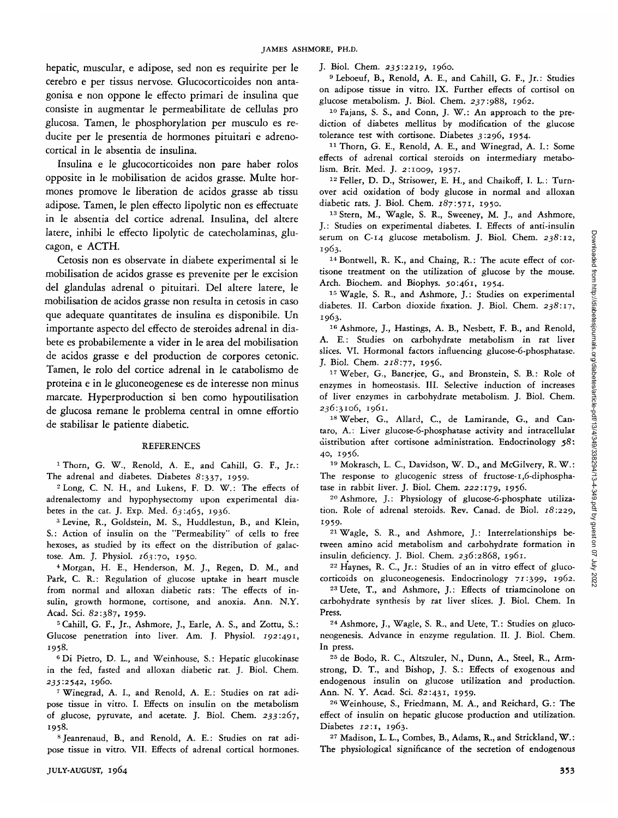hepatic, muscular, e adipose, sed non es requirite per le cerebro e per tissus nervose. Glucocorticoides non antagonisa e non oppone le effecto primari de insulina que consiste in augmentar le permeabilitate de cellulas pro glucosa. Tamen, le phosphorylation per musculo es reducite per le presentia de hormones pituitari e adrenocortical in le absentia de insulina.

Insulina e le glucocorticoides non pare haber rolos opposite in le mobilisation de acidos grasse. Multe hormones promove le liberation de acidos grasse ab tissu adipose. Tamen, le plen effecto lipolytic non es effectuate in le absentia del cortice adrenal. Insulina, del altere latere, inhibi le effecto lipolytic de catecholaminas, glucagon, e ACTH.

Cetosis non es observate in diabete experimental si le mobilisation de acidos grasse es prevenite per le excision del glandulas adrenal o pituitari. Del altere latere, le mobilisation de acidos grasse non resulta in cetosis in caso que adequate quantitates de insulina es disponibile. Un importante aspecto del effecto de steroides adrenal in diabete es probabilemente a vider in le area del mobilisation de acidos grasse e del production de corpores cetonic. Tamen, le rolo del cortice adrenal in le catabolismo de proteina e in le gluconeogenese es de interesse non minus marcate. Hyperproduction si ben como hypoutilisation de glucosa remane le problema central in omne effortio de stabilisar le patiente diabetic.

## **REFERENCES**

<sup>1</sup> Thorn, G. W., Renold, A. E., and Cahill, G. F., Jr.: The adrenal and diabetes. Diabetes  $8:337, 1959$ 

<sup>2</sup> Long, C. N. H., and Lukens, F. D. W.: The effects of adrenalectomy and hypophysectomy upon experimental diabetes in the cat. J. Exp. Med.  $63:465$ , 1936.

<sup>3</sup> Levine, R., Goldstein, M. S., Huddlestun, B., and Klein, S.: Action of insulin on the "Permeability" of cells to free hexoses, as studied by its effect on the distribution of galactose. Am. J. Physiol. 163:70, 1950.

 Morgan, H. E., Henderson, M. J., Regen, D. M., and Park, C. R.: Regulation of glucose uptake in heart muscle from normal and alloxan diabetic rats: The effects of insulin, growth hormone, cortisone, and anoxia. Ann. N.Y. Acad. Sci. 82:387, 1959.

5 Cahill, G. F., Jr., Ashmore, J., Earle, A. S., and Zottu, S.: Glucose penetration into liver. Am. J. Physiol. 192:491, 1958.

 Di Pietro, D. L., and Weinhouse, S.: Hepatic glucokinase in the fed, fasted and alloxan diabetic rat. J. Biol. Chem. 235:2542, i960. <sup>7</sup>

 Winegrad, A. I., and Renold, A. E.: Studies on rat adipose tissue in vitro. I. Effects on insulin on the metabolism of glucose, pyruvate, and acetate. J. Biol. Chem. *2331267,* 1958.

8 Jeanrenaud, B., and Renold, A. E.: Studies on rat adipose tissue in vitro. VII. Effects of adrenal cortical hormones.

J. Biol. Chem. 235:2219, 1960.

Leboeuf, B., Renold, A. E., and Cahill, G. F., Jr.: Studies on adipose tissue in vitro. IX. Further effects of cortisol on glucose metabolism. J. Biol. Chem. 237:988, 1962. <sup>10</sup>

10 Fajans, S. S., and Conn, J. W.: An approach to the prediction of diabetes mellitus by modification of the glucose tolerance test with cortisone. Diabetes 3:296, 1954.

<sup>11</sup> Thorn, G. E., Renold, A. E., and Winegrad, A. I.: Some effects of adrenal cortical steroids on intermediary metabolism. Brit. Med. J. 2:1009, 1957

12 Feller, D. D., Strisower, E. H., and Chaikoff, I. L.: Turnover acid oxidation of body glucose in normal and alloxan diabetic rats. J. Biol. Chem. 187:571, 1950.

<sup>13</sup> Stern, M., Wagle, S. R., Sweeney, M. J., and Ashmore, J.: Studies on experimental diabetes. I. Effects of anti-insulin serum on C-14 glucose metabolism. J. Biol. Chem. 238:12, 1963.

14 Bontwell, R. K., and Chaing, R.: The acute effect of cortisone treatment on the utilization of glucose by the mouse. Arch. Biochem. and Biophys. 50:461, 1954.

 Wagle, S. R., and Ashmore, J.: Studies on experimental diabetes. II. Carbon dioxide fixation. J. Biol. Chem. 238:17, 1963.

 Ashmore, J., Hastings, A. B., Nesbett, F. B., and Renold, A. E.: Studies on carbohydrate metabolism in rat liver slices. VI. Hormonal factors influencing glucose-6-phosphatase. J. Biol. Chem. *218:77,* J956.

17 Weber, G., Banerjee, G., and Bronstein, S. B.: Role of enzymes in homeostasis. III. Selective induction of increases of liver enzymes in carbohydrate metabolism. J. Biol. Chem. 236:3106, 1961.

is Weber, G., Allard, C, de Lamirande, G., and Cantaro, A.: Liver glucose-6-phosphatase activity and intracellular distribution after cortisone administration. Endocrinology *58:* 40, 1956. <sup>19</sup>

19 Mokrasch, L. C., Davidson, W. D., and McGilvery, R. W.: The response to glucogenic stress of fructose-1,6-diphosphatase in rabbit liver. J. Biol. Chem. 222:179, 1956.

<sup>20</sup> Ashmore, J.: Physiology of glucose-6-phosphate utilization. Role of adrenal steroids. Rev. Canad. de Biol. 18:229, 1959-

<sup>21</sup> Wagle, S. R., and Ashmore, J.: Interrelationships between amino acid metabolism and carbohydrate formation in insulin deficiency. J. Biol. Chem. 236:2868 , 1961.

<sup>22</sup> Haynes, R. C., Jr.: Studies of an in vitro effect of glucocorticoids on gluconeogenesis. Endocrinology  $71:399$ ,  $1962$ .

<sup>23</sup> Uete, T., and Ashmore, J.: Effects of triamcinolone on carbohydrate synthesis by rat liver slices. J. Biol. Chem. In Press.

<sup>24</sup> Ashmore, J., Wagle, S. R., and Uete, T.: Studies on gluconeogenesis. Advance in enzyme regulation. II. J. Biol. Chem. In press.

<sup>25</sup> de Bodo, R. C., Altszuler, N., Dunn, A., Steel, R., Armstrong, D. T., and Bishop, J. S.: Effects of exogenous and endogenous insulin on glucose utilization and production. Ann. N. Y. Acad. Sci. 82:431, 1959.

<sup>26</sup> Weinhouse, S., Friedmann, M. A., and Reichard, G.: The effect of insulin on hepatic glucose production and utilization. Diabetes 12:1, 1963.

<sup>27</sup> Madison, L. L., Combes, B., Adams, R., and Strickland, W.: The physiological significance of the secretion of endogenous